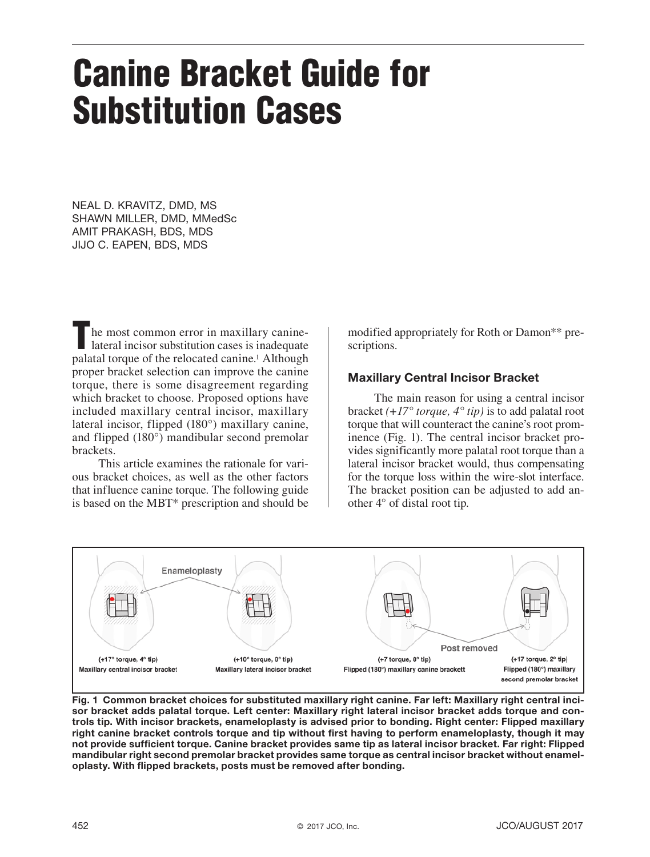# Canine Bracket Guide for Substitution Cases

NEAL D. KRAVITZ, DMD, MS SHAWN MILLER, DMD, MMedSc AMIT PRAKASH, BDS, MDS JIJO C. EAPEN, BDS, MDS

The most common error in maxillary caninelateral incisor substitution cases is inadequate palatal torque of the relocated canine.1 Although proper bracket selection can improve the canine torque, there is some disagreement regarding which bracket to choose. Proposed options have included maxillary central incisor, maxillary lateral incisor, flipped (180°) maxillary canine, and flipped (180°) mandibular second premolar brackets.

This article examines the rationale for various bracket choices, as well as the other factors that influence canine torque. The following guide is based on the MBT\* prescription and should be modified appropriately for Roth or Damon\*\* prescriptions.

# Maxillary Central Incisor Bracket

The main reason for using a central incisor bracket *(+17° torque, 4° tip)* is to add palatal root torque that will counteract the canine's root prominence (Fig. 1). The central incisor bracket provides significantly more palatal root torque than a lateral incisor bracket would, thus compensating for the torque loss within the wire-slot interface. The bracket position can be adjusted to add another 4° of distal root tip.



Fig. 1 Common bracket choices for substituted maxillary right canine. Far left: Maxillary right central incisor bracket adds palatal torque. Left center: Maxillary right lateral incisor bracket adds torque and controls tip. With incisor brackets, enameloplasty is advised prior to bonding. Right center: Flipped maxillary right canine bracket controls torque and tip without first having to perform enameloplasty, though it may not provide sufficient torque. Canine bracket provides same tip as lateral incisor bracket. Far right: Flipped mandibular right second premolar bracket provides same torque as central incisor bracket without enameloplasty. With flipped brackets, posts must be removed after bonding.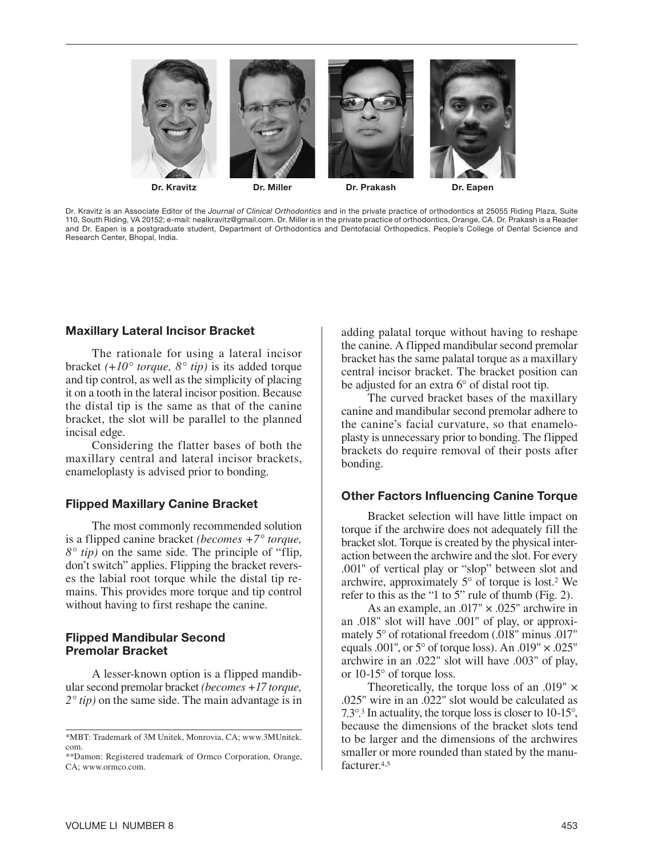

Dr. Kravitz is an Associate Editor of the *Journal of Clinical Orthodontics* and in the private practice of orthodontics at 25055 Riding Plaza, Suite 110, South Riding, VA 20152; e-mail: nealkravitz@gmail.com. Dr. Miller is in the private practice of orthodontics, Orange, CA. Dr. Prakash is a Reader and Dr. Eapen is a postgraduate student, Department of Orthodontics and Dentofacial Orthopedics, People's College of Dental Science and Research Center, Bhopal, India.

### Maxillary Lateral Incisor Bracket

The rationale for using a lateral incisor bracket *(+10° torque, 8° tip)* is its added torque and tip control, as well as the simplicity of placing it on a tooth in the lateral incisor position. Because the distal tip is the same as that of the canine bracket, the slot will be parallel to the planned incisal edge.

Considering the flatter bases of both the maxillary central and lateral incisor brackets, enameloplasty is advised prior to bonding.

# Flipped Maxillary Canine Bracket

The most commonly recommended solution is a flipped canine bracket *(becomes +7° torque, 8° tip)* on the same side. The principle of "flip, don't switch" applies. Flipping the bracket reverses the labial root torque while the distal tip remains. This provides more torque and tip control without having to first reshape the canine.

### Flipped Mandibular Second Premolar Bracket

A lesser-known option is a flipped mandibular second premolar bracket *(becomes +17 torque, 2° tip)* on the same side. The main advantage is in

adding palatal torque without having to reshape the canine. A flipped mandibular second premolar bracket has the same palatal torque as a maxillary central incisor bracket. The bracket position can be adjusted for an extra 6° of distal root tip.

The curved bracket bases of the maxillary canine and mandibular second premolar adhere to the canine's facial curvature, so that enameloplasty is unnecessary prior to bonding. The flipped brackets do require removal of their posts after bonding.

#### Other Factors Influencing Canine Torque

Bracket selection will have little impact on torque if the archwire does not adequately fill the bracket slot. Torque is created by the physical interaction between the archwire and the slot. For every .001" of vertical play or "slop" between slot and archwire, approximately  $5^{\circ}$  of torque is lost.<sup>2</sup> We refer to this as the "1 to 5" rule of thumb (Fig. 2).

As an example, an .017" × .025" archwire in an .018" slot will have .001" of play, or approximately 5° of rotational freedom (.018" minus .017" equals .001", or  $5^{\circ}$  of torque loss). An .019"  $\times$  .025" archwire in an .022" slot will have .003" of play, or 10-15° of torque loss.

Theoretically, the torque loss of an .019" × .025" wire in an .022" slot would be calculated as 7.3°.3 In actuality, the torque loss is closer to 10-15°, because the dimensions of the bracket slots tend to be larger and the dimensions of the archwires smaller or more rounded than stated by the manufacturer<sup>4,5</sup>

<sup>\*</sup>MBT: Trademark of 3M Unitek, Monrovia, CA; www.3MUnitek. com.

<sup>\*\*</sup>Damon: Registered trademark of Ormco Corporation, Orange, CA; www.ormco.com.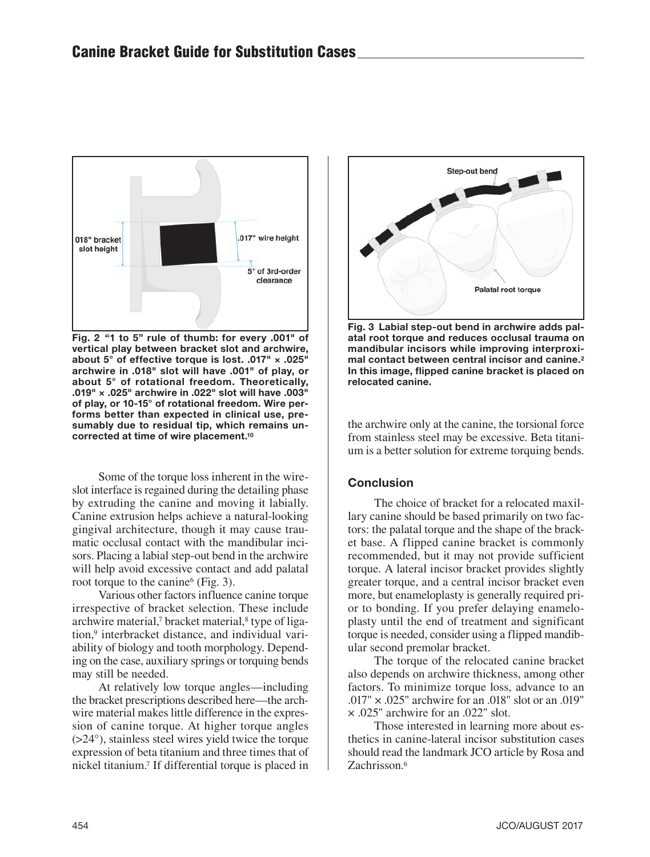

Fig. 2 "1 to 5" rule of thumb: for every .001" of vertical play between bracket slot and archwire, about 5° of effective torque is lost. .017" × .025" archwire in .018" slot will have .001" of play, or about 5° of rotational freedom. Theoretically, .019" × .025" archwire in .022" slot will have .003" of play, or 10-15° of rotational freedom. Wire performs better than expected in clinical use, presumably due to residual tip, which remains uncorrected at time of wire placement.10

Some of the torque loss inherent in the wireslot interface is regained during the detailing phase by extruding the canine and moving it labially. Canine extrusion helps achieve a natural-looking gingival architecture, though it may cause traumatic occlusal contact with the mandibular incisors. Placing a labial step-out bend in the archwire will help avoid excessive contact and add palatal root torque to the canine<sup>6</sup> (Fig. 3).

Various other factors influence canine torque irrespective of bracket selection. These include archwire material,<sup>7</sup> bracket material,<sup>8</sup> type of ligation,9 interbracket distance, and individual variability of biology and tooth morphology. Depending on the case, auxiliary springs or torquing bends may still be needed.

At relatively low torque angles—including the bracket prescriptions described here—the archwire material makes little difference in the expression of canine torque. At higher torque angles (>24°), stainless steel wires yield twice the torque expression of beta titanium and three times that of nickel titanium.7 If differential torque is placed in



Fig. 3 Labial step-out bend in archwire adds palatal root torque and reduces occlusal trauma on mandibular incisors while improving interproximal contact between central incisor and canine.<sup>2</sup> In this image, flipped canine bracket is placed on relocated canine.

the archwire only at the canine, the torsional force from stainless steel may be excessive. Beta titanium is a better solution for extreme torquing bends.

# **Conclusion**

The choice of bracket for a relocated maxillary canine should be based primarily on two factors: the palatal torque and the shape of the bracket base. A flipped canine bracket is commonly recommended, but it may not provide sufficient torque. A lateral incisor bracket provides slightly greater torque, and a central incisor bracket even more, but enameloplasty is generally required prior to bonding. If you prefer delaying enameloplasty until the end of treatment and significant torque is needed, consider using a flipped mandibular second premolar bracket.

The torque of the relocated canine bracket also depends on archwire thickness, among other factors. To minimize torque loss, advance to an .017" × .025" archwire for an .018" slot or an .019" × .025" archwire for an .022" slot.

Those interested in learning more about esthetics in canine-lateral incisor substitution cases should read the landmark JCO article by Rosa and Zachrisson<sup>6</sup>